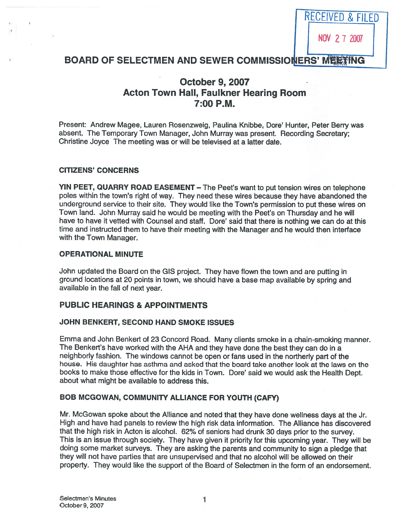RECEIVED & FILED

## BOARD OF SELECTMEN AND SEWER COMMISSIONERS' MEETING

# October 9, 2007 Acton Town Hall, Faulkner Hearing Room 7:00 P.M.

Present: Andrew Magee, Lauren Rosenzweig, Paulina Knibbe, Dore' Hunter, Peter Berry was absent. The Temporary Town Manager, John Murray was present. Recording Secretary; Christine Joyce The meeting was or will be televised at <sup>a</sup> latter date.

#### CITIZENS' CONCERNS

YIN PEET, QUARRY ROAD EASEMENT – The Peet's want to put tension wires on telephone poles within the town's right of way. They need these wires because they have abandoned the underground service to their site. They would like the Town's permission to pu<sup>t</sup> these wires on Town land. John Murray said he would be meeting with the Peet's on Thursday and he will have to have it vetted with Counsel and staff. Dore' said that there is nothing we can do at this time and instructed them to have their meeting with the Manager and he would then interface with the Town Manager.

#### OPERATIONAL MINUTE

John updated the Board on the GIS project. They have flown the town and are putting in groun<sup>d</sup> locations at <sup>20</sup> points in town, we should have <sup>a</sup> base map available by spring and available in the fall of next year.

#### PUBLIC HEARINGS & APPOINTMENTS

#### JOHN BENKERT, SECOND HAND SMOKE ISSUES

Emma and John Benkert of 23 Concord Road. Many clients smoke in <sup>a</sup> chain-smoking manner. The Benkert's have worked with the AHA and they have done the best they can do in <sup>a</sup> neighborly fashion. The windows cannot be open or fans used in the northerly par<sup>t</sup> of the house. His daughter has asthma and asked that the board take another look at the laws on the books to make those effective for the kids in Town. Dore' said we would ask the Health Dept. about what might be available to address this.

#### BOB MCGOWAN, COMMUNITY ALLIANCE FOR YOUTH (CAFY)

Mr. McGowan spoke about the Alliance and noted that they have done wellness days at the Jr. High and have had panels to review the high risk data information. The Alliance has discovered that the high risk in Acton is alcohol. 62% of seniors had drunk <sup>30</sup> days prior to the survey. This is an issue through society. They have <sup>g</sup>iven it priority for this upcoming year. They will be doing some market surveys. They are asking the parents and community to sign <sup>a</sup> <sup>p</sup>ledge that they will not have parties that are unsupervised and that no alcohol will be allowed on their property. They would like the suppor<sup>t</sup> of the Board of Selectmen in the form of an endorsement.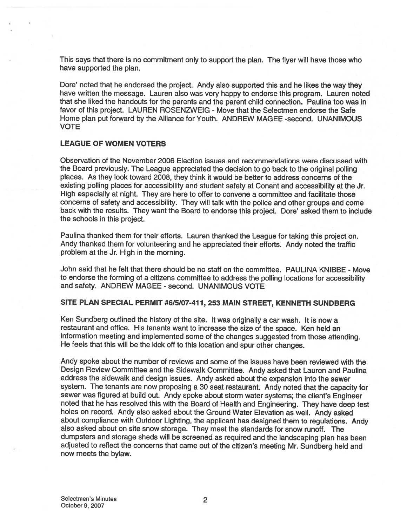This says that there is no commitment only to suppor<sup>t</sup> the <sup>p</sup>lan. The flyer will have those who have supported the plan.

Dore' noted that he endorsed the project. Andy also supported this and he likes the way they have written the message. Lauren also was very happy to endorse this program. Lauren noted that she liked the handouts for the parents and the paren<sup>t</sup> child connection. Paulina too was in favor of this project. LAUREN ROSENZWEIG - Move that the Selectmen endorse the Safe Home plan pu<sup>t</sup> forward by the Alliance for Youth. ANDREW MAGEE -second. UNANIMOUS VOTE

## LEAGUE OF WOMEN VOTERS

Observation of the November 2006 Election issues and recommendations were discussed with the Board previously. The League appreciated the decision to go back to the original polling places. As they look toward 2008, they think it would be better to address concerns of the existing polling <sup>p</sup>laces for accessibility and student safety at Conant and accessibility at the Jr. High especially at night. They are here to offer to convene <sup>a</sup> committee and facilitate those concerns of safety and accessibility. They will talk with the police and other groups and come back with the results. They want the Board to endorse this project. Dore' asked them to include the schools in this project.

Paulina thanked them for their efforts. Lauren thanked the League for taking this project on. Andy thanked them for volunteering and he appreciated their efforts. Andy noted the traffic problem at the Jr. High in the morning.

John said that he felt that there should be no staff on the committee. PAULINA KNIBBE - Move to endorse the forming of <sup>a</sup> citizens committee to address the polling locations for accessibility and safety. ANDREW MAGEE - second. UNANIMOUS VOTE

#### SITE PLAN SPECIAL PERMIT #6/5/07-411, 253 MAIN STREET, KENNETH SUNDBERG

Ken Sundberg outlined the history of the site. It was originally <sup>a</sup> car wash. It is now <sup>a</sup> restaurant and office. His tenants want to increase the size of the space. Ken held an information meeting and implemented some of the changes suggested from those attending. He feels that this will be the kick off to this location and spur other changes.

Andy spoke about the number of reviews and some of the issues have been reviewed with the Design Review Committee and the Sidewalk Committee. Andy asked that Lauren and Paullna address the sidewalk and design issues. Andy asked about the expansion into the sewer system. The tenants are now proposing <sup>a</sup> <sup>30</sup> seat restaurant. Andy noted that the capacity for sewer was figured at build out. Andy spoke about storm water systems; the client's Engineer noted that he has resolved this with the Board of Health and Engineering. They have deep test holes on record. Andy also asked about the Ground Water Elevation as well. Andy asked about compliance with Outdoor Lighting, the applicant has designed them to regulations. Andy also asked about on site snow storage. They meet the standards for snow runoff. The dumpsters and storage sheds will be screened as required and the landscaping <sup>p</sup>lan has been adjusted to reflect the concerns that came out of the citizen's meeting Mr. Sundberg held and now meets the bylaw.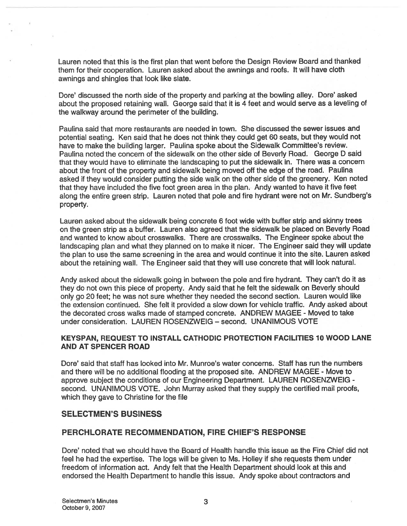Lauren noted that this is the first plan that went before the Design Review Board and thanked them for their cooperation. Lauren asked about the awnings and roofs. It will have cloth awnings and shingles that look like slate.

Dore' discussed the north side of the property and parking at the bowling alley. Dote' asked about the propose<sup>d</sup> retaining wall. George said that it is <sup>4</sup> feet and would serve as <sup>a</sup> leveling of the walkway around the perimeter of the building.

Paulina said that more restaurants are needed in town. She discussed the sewer issues and potential seating. Ken said that he does not think they could ge<sup>t</sup> 60 seats, but they would not have to make the building larger. Paulina spoke about the Sidewalk Committee's review. Paulina noted the concern of the sidewalk on the other side of Beverly Road. George <sup>D</sup> said that they would have to eliminate the landscaping to pu<sup>t</sup> the sidewalk in. There was <sup>a</sup> concern about the front of the property and sidewalk being moved off the edge of the road. Paulina asked if they would consider putting the side walk on the other side of the greenery. Ken noted that they have included the five foot green area in the plan. Andy wanted to have it five feet along the entire green strip. Lauren noted that pole and fire hydrant were not on Mr. Sundberg's property.

Lauren asked about the sidewalk being concrete <sup>6</sup> foot wide with buffer strip and skinny trees on the green strip as <sup>a</sup> buffer. Lauren also agreed that the sidewalk be <sup>p</sup>laced on Beverly Road and wanted to know about crosswalks. There are crosswalks. The Engineer spoke about the landscaping <sup>p</sup>lan and what they <sup>p</sup>lanned on to make it nicer. The Engineer said they will update the <sup>p</sup>lan to use the same screening in the area and would continue it into the site. Lauren asked about the retaining wall. The Engineer said that they will use concrete that will look natural.

Andy asked about the sidewalk going in between the pole and fire hydrant. They can't do it as they do not own this <sup>p</sup>iece of property. Andy said that he felt the sidewalk on Beverly should only go 20 feet; he was not sure whether they needed the second section. Lauren would like the extension continued. She felt it provided <sup>a</sup> slow down for vehicle traffic. Andy asked about the decorated cross walks made of stamped concrete. ANDREW MAGEE - Moved to take under consideration. LAUREN ROSENZWEIG — second. UNANIMOUS VOTE

### KEYSPAN, REQUEST TO INSTALL CATHODIC PROTECTION FACILITIES 10 WOOD LANE AND AT SPENCER ROAD

Dore' said that staff has looked into Mr. Munroe's water concerns. Staff has run the numbers and there will be no additional flooding at the proposed site. ANDREW MAGEE - Move to approve subject the conditions of our Engineering Department. LAUREN ROSENZWEIG second. UNANIMOUS VOTE. John Murray asked that they supply the certified mail proofs, which they gave to Christine for the file

### SELECTMEN'S BUSINESS

## PERCHLORATE RECOMMENDATION, FIRE CHIEF'S RESPONSE

Dote' noted that we should have the Board of Health handle this issue as the Fire Chief did not feel he had the expertise. The logs will be given to Ms. Holley if she requests them under freedom of information act. Andy felt that the Health Department should look at this and endorsed the Health Department to handle this issue. Andy spoke about contractors and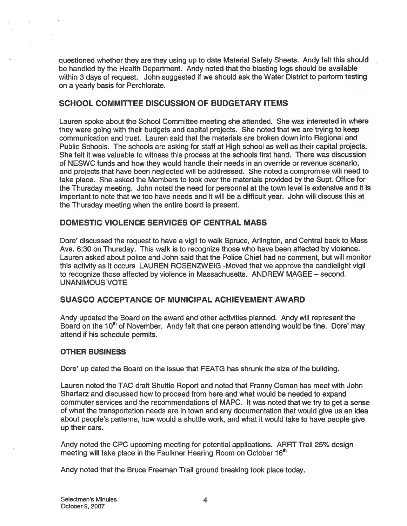questioned whether they are they using up to date Material Safety Sheets. Andy felt this should be handled by the Health Department. Andy noted that the blasting logs should be available within <sup>3</sup> days of request. John suggested if we should ask the Water District to perform testing on <sup>a</sup> yearly basis for Perchlorate.

### SCHOOL COMMITTEE DISCUSSION OF BUDGETARY ITEMS

Lauren spoke about the School Committee meeting she attended. She was interested in where they were going with their budgets and capital projects. She noted that we are trying to keep communication and trust. Lauren said that the materials are broken down into Regional and Public Schools. The schools are asking for staff at High school as well as their capital projects. She felt it was valuable to witness this process at the schools first hand. There was discussion of NESWC funds and how they would handle their needs in an override or revenue scenario, and projects that have been neglected will be addressed. She noted <sup>a</sup> compromise will need to take <sup>p</sup>lace. She asked the Members to look over the materials provided by the Supt. Office for the Thursday meeting. John noted the need for personnel at the town level is extensive and it is important to note that we too have needs and it will be <sup>a</sup> difficult year. John will discuss this at the Thursday meeting when the entire board is present.

### DOMESTIC VIOLENCE SERVICES OF CENTRAL MASS

Dore' discussed the reques<sup>t</sup> to have <sup>a</sup> vigil to walk Spruce, Arlington, and Central back to Mass Ave. 6:30 on Thursday. This walk is to recognize those who have been affected by violence. Lauren asked about police and John said that the Police Chief had no comment, but will monitor this activity as it occurs LAUREN ROSENZWEIG -Moved that we approve the candlelight vigil to recognize those affected by violence in Massachusetts. ANDREW MAGEE — second. UNANIMOUS VOTE

### SUASCO ACCEPTANCE OF MUNICIPAL ACHIEVEMENT AWARD

Andy updated the Board on the award and other activities planned. Andy will represen<sup>t</sup> the Board on the 10<sup>th</sup> of November. Andy felt that one person attending would be fine. Dore' may attend if his schedule permits.

#### OTHER BUSINESS

Dore' up dated the Board on the issue that FEATG has shrunk the size of the building.

Lauren noted the TAC draft Shuttle Report and noted that Franny Osman has meet with John Sharfarz and discussed how to proceed from here and what would be needed to expand commuter services and the recommendations of MAPC. It was noted that we try to ge<sup>t</sup> <sup>a</sup> sense of what the transportation needs are in town and any documentation that would give us an idea about people's patterns, how would <sup>a</sup> shuttle work, and what it would take to have people give up their cars.

Andy noted the CPC upcoming meeting for potential applications. ARRT Trail 25% design meeting will take place in the Faulkner Hearing Room on October 16<sup>th</sup>

Andy noted that the Bruce Freeman Trail ground breaking took place today.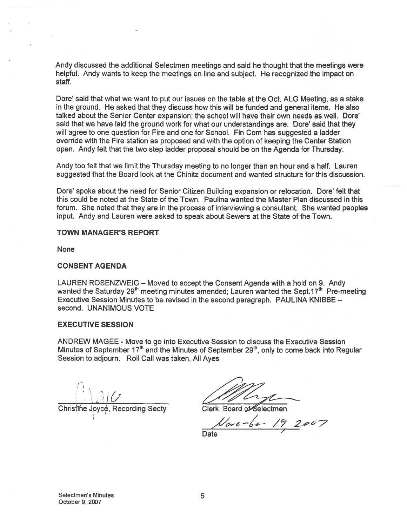Andy discussed the additional Selectmen meetings and said he thought that the meetings were helpful. Andy wants to keep the meetings on line and subject. He recognized the impact on staff.

Dore' said that what we want to put our issues on the table at the Oct. ALG Meeting, as a stake in the ground. He asked that they discuss how this will be funded and general items. He also talked about the Senior Center expansion; the school will have their own needs as well. Dore' said that we have laid the ground work for what our understandings are. Dore' said that they will agree to one question for Fire and one for School. Fin Com has suggested a ladder override with the Fire station as proposed and with the option of keeping the Center Station open. Andy felt that the two step ladder proposal should be on the Agenda for Thursday.

Andy too felt that we limit the Thursday meeting to no longer than an hour and <sup>a</sup> half. Lauren suggested that the Board look at the Chinitz document and wanted structure for this discussion.

Dore' spoke about the need for Senior Citizen Building expansion or relocation. Dore' felt that this could be noted at the State of the Town. Paulina wanted the Master Plan discussed in this forum. She noted that they are in the process of interviewing <sup>a</sup> consultant. She wanted peoples input. Andy and Lauren were asked to speak about Sewers at the State of the Town.

#### TOWN MANAGER'S REPORT

None

#### CONSENT AGENDA

LAUREN ROSENZWEIG — Moved to accep<sup>t</sup> the Consent Agenda with <sup>a</sup> hold on 9. Andy wanted the Saturday 29<sup>th</sup> meeting minutes amended; Lauren wanted the Sept.17<sup>th</sup> Pre-meeting Executive Session Minutes to be revised in the second paragraph. PAULINA KNIBBE second. UNANIMOUS VOTE

#### EXECUTIVE SESSION

ANDREW MAGEE - Move to go into Executive Session to discuss the Executive Session Minutes of September  $17<sup>th</sup>$  and the Minutes of September 29<sup>th</sup>, only to come back into Regular Session to adjourn. Roll Call was taken, All Ayes

Christline Joyce, Recording Secty Clerk, Board of Selectmen

 $192007$ 

**Date**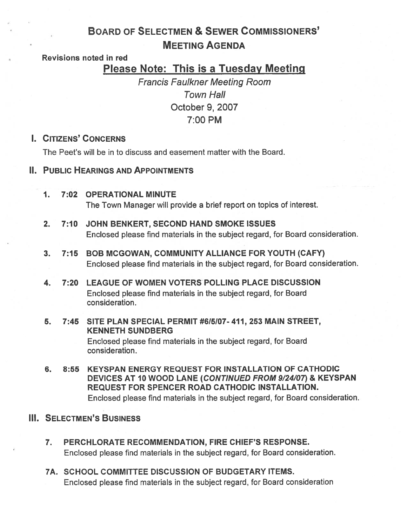# BOARD OF SELECTMEN & SEWER COMMISSIONERS' MEETING AGENDA

## Revisions noted in red

# Please Note: This is <sup>a</sup> Tuesday Meeting

Francis Faulkner Meeting Room Town Hall October 9, 2007 7:00 PM

## I. CITIZENS' CONCERNS

The Peet's will be in to discuss and easement matter with the Board.

## II. PUBLIC HEARINGS AND APPOINTMENTS

- 1. 7:02 OPERATIONAL MINUTE The Town Manager will provide <sup>a</sup> brief repor<sup>t</sup> on topics of interest.
- 2. 7:10 JOHN BENKERT, SECOND HAND SMOKE ISSUES Enclosed please find materials in the subject regard, for Board consideration.
- 3. 7:15 BOB MCGOWAN, COMMUNITY ALLIANCE FOR YOUTH (CAFY) Enclosed please find materials in the subject regard, for Board consideration.
- 4. 7:20 LEAGUE OF WOMEN VOTERS POLLING PLACE DISCUSSION Enclosed please find materials in the subject regard, for Board consideration.
- 5. 7:45 SITE PLAN SPECIAL PERMIT #615107- 411, 253 MAIN STREET, KENNETH SUNDBERG Enclosed please find materials in the subject regard, for Board consideration.
- 6. 8:55 KEYSPAN ENERGY REQUEST FOR INSTALLATION OF CATHODIC DEVICES AT 10 WOOD LANE (CONTINUED FROM 9/24/07) & KEYSPAN REQUEST FOR SPENCER ROAD CATHODIC INSTALLATION. Enclosed please find materials in the subject regard, for Board consideration.

## Ill. SELECTMEN'S BUSINESS

- 7. PERCHLORATE RECOMMENDATION, FIRE CHIEF'S RESPONSE. Enclosed please find materials in the subject regard, for Board consideration.
- 7A. SCHOOL COMMITTEE DISCUSSION OF BUDGETARY ITEMS. Enclosed please find materials in the subject regard, for Board consideration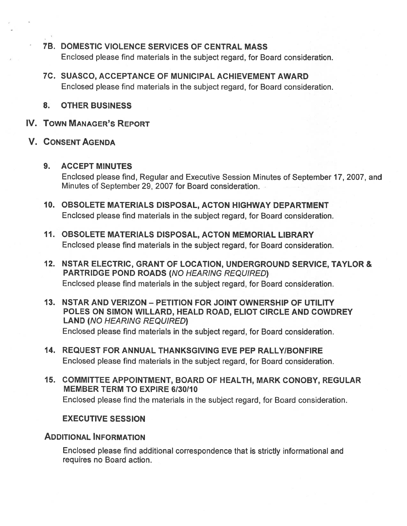- TB. DOMESTIC VIOLENCE SERVICES OF CENTRAL MASS Enclosed please find materials in the subject regard, for Board consideration.
- 7C. SUASCO, ACCEPTANCE OF MUNICIPAL ACHIEVEMENT AWARD Enclosed please find materials in the subject regard, for Board consideration.
- 8. OTHER BUSINESS
- IV. TOWN MANAGER'S REPORT
- V. CONSENT AGENDA

## 9. ACCEPT MINUTES

Enclosed please find, Regular and Executive Session Minutes of September 17, 2007, and Minutes of September 29, 2007 for Board consideration.

- 10. OBSOLETE MATERIALS DISPOSAL, ACTON HIGHWAY DEPARTMENT Enclosed please find materials in the subject regard, for Board consideration.
- 11. OBSOLETE MATERIALS DISPOSAL, ACTON MEMORIAL LIBRARY Enclosed please find materials in the subject regard, for Board consideration.
- 12. NSTAR ELECTRIC, GRANT OF LOCATION, UNDERGROUND SERVICE, TAYLOR & PARTRIDGE POND ROADS (NO HEARING REQUIRED) Enclosed please find materials in the subject regard, for Board consideration.
- 13. NSTAR AND VERIZON PETITION FOR JOINT OWNERSHIP OF UTILITY POLES ON SIMON WILLARD, HEALD ROAD, ELIOT CIRCLE AND COWDREY LAND (NO HEARING REQUIRED) Enclosed please find materials in the subject regard, for Board consideration.
- 14. REQUEST FOR ANNUAL THANKSGIVING EVE PEP RALLY/BONFIRE Enclosed please find materials in the subject regard, for Board consideration.
- 15. COMMITTEE APPOINTMENT, BOARD OF HEALTH, MARK CONOBY, REGULAR MEMBER TERM TO EXPIRE 6/30/10 Enclosed please find the materials in the subject regard, for Board consideration.

## EXECUTIVE SESSION

## ADDITIONAL INFORMATION

Enclosed <sup>p</sup>lease find additional correspondence that is strictly informational and requires no Board action.